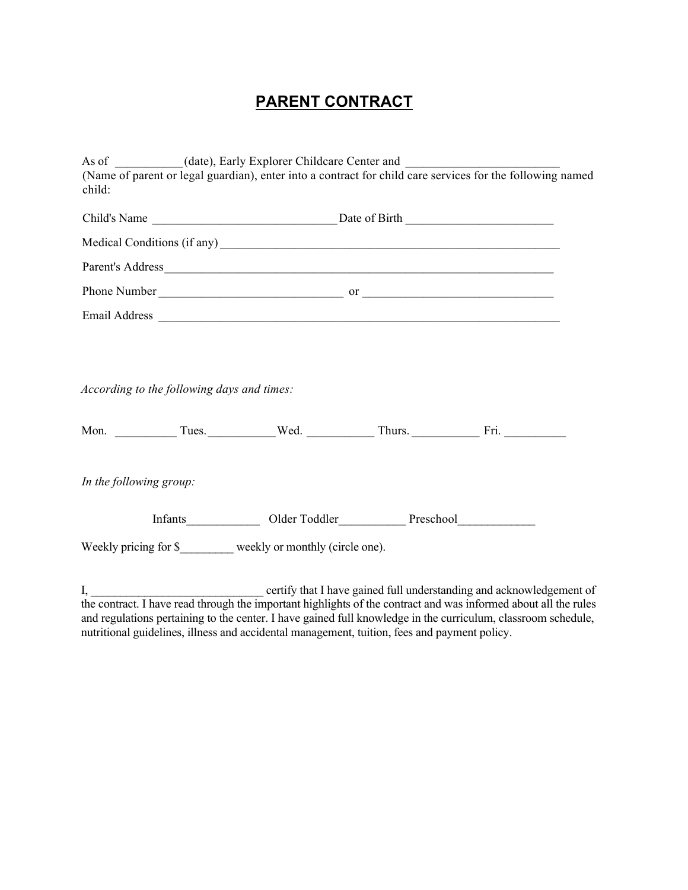## **PARENT CONTRACT**

|                                            | As of _________(date), Early Explorer Childcare Center and _____________________<br>(Name of parent or legal guardian), enter into a contract for child care services for the following named                                        |                                                                      |
|--------------------------------------------|--------------------------------------------------------------------------------------------------------------------------------------------------------------------------------------------------------------------------------------|----------------------------------------------------------------------|
| child:                                     |                                                                                                                                                                                                                                      |                                                                      |
|                                            |                                                                                                                                                                                                                                      |                                                                      |
|                                            | Medical Conditions (if any)<br><u>Letter</u> and the conditions of any setting of any setting of any setting of any setting of any setting of any setting of any setting of any setting of any setting of any setting of any setting |                                                                      |
|                                            | Parent's Address                                                                                                                                                                                                                     |                                                                      |
|                                            |                                                                                                                                                                                                                                      |                                                                      |
|                                            |                                                                                                                                                                                                                                      |                                                                      |
|                                            |                                                                                                                                                                                                                                      |                                                                      |
|                                            |                                                                                                                                                                                                                                      |                                                                      |
| According to the following days and times: |                                                                                                                                                                                                                                      |                                                                      |
|                                            |                                                                                                                                                                                                                                      |                                                                      |
|                                            | Mon. Tues. Wed. Thurs. Fri.                                                                                                                                                                                                          |                                                                      |
|                                            |                                                                                                                                                                                                                                      |                                                                      |
| In the following group:                    |                                                                                                                                                                                                                                      |                                                                      |
|                                            |                                                                                                                                                                                                                                      |                                                                      |
|                                            |                                                                                                                                                                                                                                      |                                                                      |
|                                            | Weekly pricing for \$________ weekly or monthly (circle one).                                                                                                                                                                        |                                                                      |
| $I, \underline{\hspace{2cm}}$              |                                                                                                                                                                                                                                      | certify that I have gained full understanding and acknowledgement of |
|                                            |                                                                                                                                                                                                                                      |                                                                      |

the contract. I have read through the important highlights of the contract and was informed about all the rules and regulations pertaining to the center. I have gained full knowledge in the curriculum, classroom schedule, nutritional guidelines, illness and accidental management, tuition, fees and payment policy.